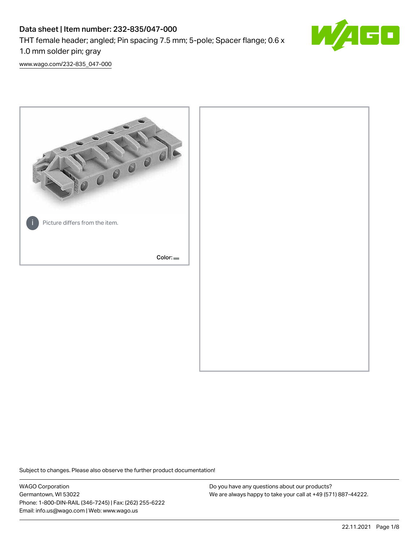# Data sheet | Item number: 232-835/047-000 THT female header; angled; Pin spacing 7.5 mm; 5-pole; Spacer flange; 0.6 x 1.0 mm solder pin; gray



[www.wago.com/232-835\\_047-000](http://www.wago.com/232-835_047-000)



Subject to changes. Please also observe the further product documentation!

WAGO Corporation Germantown, WI 53022 Phone: 1-800-DIN-RAIL (346-7245) | Fax: (262) 255-6222 Email: info.us@wago.com | Web: www.wago.us

Do you have any questions about our products? We are always happy to take your call at +49 (571) 887-44222.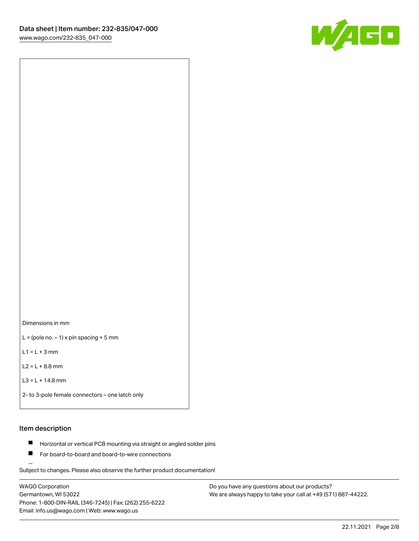

Dimensions in mm

 $L =$  (pole no.  $-1$ ) x pin spacing + 5 mm

 $L1 = L + 3$  mm

 $L2 = L + 8.8$  mm

```
L3 = L + 14.8 mm
```
2- to 3-pole female connectors – one latch only

# Item description

- **Horizontal or vertical PCB mounting via straight or angled solder pins**
- For board-to-board and board-to-wire connections

Subject to changes. Please also observe the further product documentation!

WAGO Corporation Germantown, WI 53022 Phone: 1-800-DIN-RAIL (346-7245) | Fax: (262) 255-6222 Email: info.us@wago.com | Web: www.wago.us

Do you have any questions about our products? We are always happy to take your call at +49 (571) 887-44222.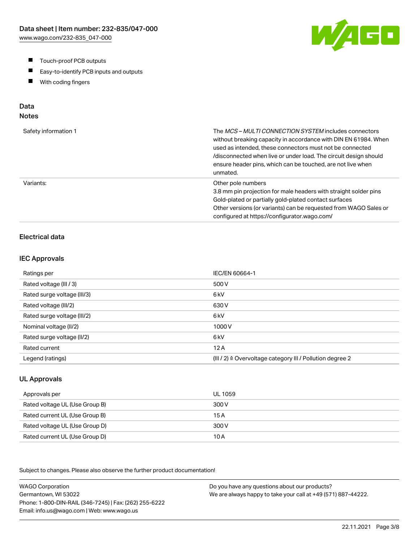- $\blacksquare$ Touch-proof PCB outputs
- $\blacksquare$ Easy-to-identify PCB inputs and outputs
- With coding fingers  $\blacksquare$

# Data

# Notes

| Safety information 1 | The <i>MCS – MULTI CONNECTION SYSTEM</i> includes connectors<br>without breaking capacity in accordance with DIN EN 61984. When<br>used as intended, these connectors must not be connected<br>/disconnected when live or under load. The circuit design should<br>ensure header pins, which can be touched, are not live when<br>unmated. |
|----------------------|--------------------------------------------------------------------------------------------------------------------------------------------------------------------------------------------------------------------------------------------------------------------------------------------------------------------------------------------|
| Variants:            | Other pole numbers<br>3.8 mm pin projection for male headers with straight solder pins<br>Gold-plated or partially gold-plated contact surfaces<br>Other versions (or variants) can be requested from WAGO Sales or<br>configured at https://configurator.wago.com/                                                                        |

# Electrical data

#### IEC Approvals

| Ratings per                 | IEC/EN 60664-1                                                       |
|-----------------------------|----------------------------------------------------------------------|
| Rated voltage (III / 3)     | 500 V                                                                |
| Rated surge voltage (III/3) | 6 <sub>kV</sub>                                                      |
| Rated voltage (III/2)       | 630 V                                                                |
| Rated surge voltage (III/2) | 6 <sub>k</sub> V                                                     |
| Nominal voltage (II/2)      | 1000V                                                                |
| Rated surge voltage (II/2)  | 6 <sub>k</sub> V                                                     |
| Rated current               | 12A                                                                  |
| Legend (ratings)            | (III / 2) $\triangleq$ Overvoltage category III / Pollution degree 2 |

# UL Approvals

| Approvals per                  | UL 1059 |
|--------------------------------|---------|
| Rated voltage UL (Use Group B) | 300 V   |
| Rated current UL (Use Group B) | 15 A    |
| Rated voltage UL (Use Group D) | 300 V   |
| Rated current UL (Use Group D) | 10 A    |

Subject to changes. Please also observe the further product documentation!

WAGO Corporation Germantown, WI 53022 Phone: 1-800-DIN-RAIL (346-7245) | Fax: (262) 255-6222 Email: info.us@wago.com | Web: www.wago.us Do you have any questions about our products? We are always happy to take your call at +49 (571) 887-44222.

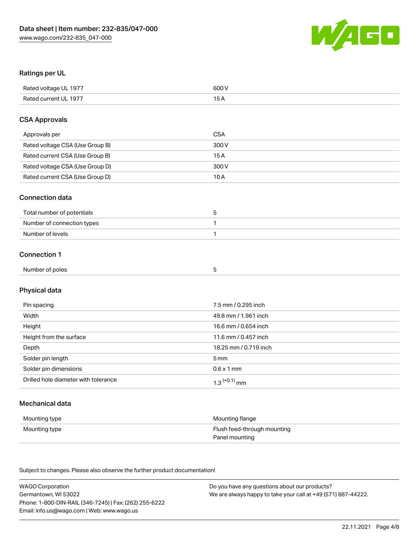

# Ratings per UL

| Rated voltage UL 1977 | 600 V |
|-----------------------|-------|
| Rated current UL 1977 |       |

# CSA Approvals

| Approvals per                   | CSA   |
|---------------------------------|-------|
| Rated voltage CSA (Use Group B) | 300 V |
| Rated current CSA (Use Group B) | 15 A  |
| Rated voltage CSA (Use Group D) | 300 V |
| Rated current CSA (Use Group D) | 10 A  |

#### Connection data

| Total number of potentials |  |
|----------------------------|--|
| Number of connection types |  |
| Number of levels           |  |

# Connection 1

| Number of poles<br>$\sim$ $\sim$ $\sim$ $\sim$ $\sim$<br>. |  |  |
|------------------------------------------------------------|--|--|
|                                                            |  |  |

# Physical data

| Pin spacing                          | 7.5 mm / 0.295 inch   |
|--------------------------------------|-----------------------|
| Width                                | 49.8 mm / 1.961 inch  |
| Height                               | 16.6 mm / 0.654 inch  |
| Height from the surface              | 11.6 mm / 0.457 inch  |
| Depth                                | 18.25 mm / 0.719 inch |
| Solder pin length                    | 5 mm                  |
| Solder pin dimensions                | $0.6 \times 1$ mm     |
| Drilled hole diameter with tolerance | $1.3$ $(+0.1)$ mm     |

# Mechanical data

| Mounting type | Mounting flange             |
|---------------|-----------------------------|
| Mounting type | Flush feed-through mounting |
|               | Panel mounting              |

Subject to changes. Please also observe the further product documentation!

| <b>WAGO Corporation</b>                                | Do you have any questions about our products?                 |
|--------------------------------------------------------|---------------------------------------------------------------|
| Germantown, WI 53022                                   | We are always happy to take your call at +49 (571) 887-44222. |
| Phone: 1-800-DIN-RAIL (346-7245)   Fax: (262) 255-6222 |                                                               |
| Email: info.us@wago.com   Web: www.wago.us             |                                                               |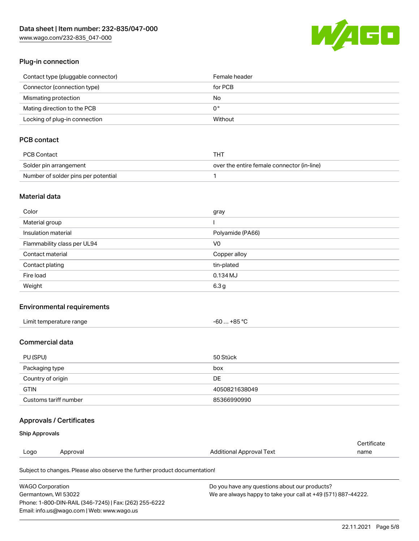[www.wago.com/232-835\\_047-000](http://www.wago.com/232-835_047-000)



# Plug-in connection

| Contact type (pluggable connector) | Female header |
|------------------------------------|---------------|
| Connector (connection type)        | for PCB       |
| Mismating protection               | No            |
| Mating direction to the PCB        | 0°            |
| Locking of plug-in connection      | Without       |

# PCB contact

| PCB Contact                         | THT                                        |
|-------------------------------------|--------------------------------------------|
| Solder pin arrangement              | over the entire female connector (in-line) |
| Number of solder pins per potential |                                            |

# Material data

| Color                       | gray             |
|-----------------------------|------------------|
| Material group              |                  |
| Insulation material         | Polyamide (PA66) |
| Flammability class per UL94 | V <sub>0</sub>   |
| Contact material            | Copper alloy     |
| Contact plating             | tin-plated       |
| Fire load                   | $0.134$ MJ       |
| Weight                      | 6.3 <sub>g</sub> |

#### Environmental requirements

| Limit temperature range | -60  +85 °C |
|-------------------------|-------------|
|-------------------------|-------------|

# Commercial data

| PU (SPU)              | 50 Stück      |
|-----------------------|---------------|
| Packaging type        | box           |
| Country of origin     | DE            |
| <b>GTIN</b>           | 4050821638049 |
| Customs tariff number | 85366990990   |

# Approvals / Certificates

## Ship Approvals

| Logo | Approval | <b>Additional Approval Text</b> | name                  |
|------|----------|---------------------------------|-----------------------|
|      |          |                                 | ' <i>∶</i> ertificate |

Subject to changes. Please also observe the further product documentation!

| <b>WAGO Corporation</b>                                | Do you have any questions about our products?                 |
|--------------------------------------------------------|---------------------------------------------------------------|
| Germantown, WI 53022                                   | We are always happy to take your call at +49 (571) 887-44222. |
| Phone: 1-800-DIN-RAIL (346-7245)   Fax: (262) 255-6222 |                                                               |
| Email: info.us@wago.com   Web: www.wago.us             |                                                               |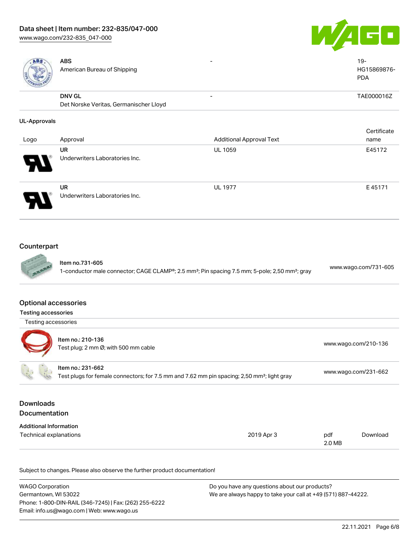

| ABS<br>American B |
|-------------------|
| <b>DNV GL</b>     |

ureau of Shipping

- 19-HG15869876- PDA

Certificate

- TAE000016Z

Det Norske Veritas, Germanischer Lloyd

# UL-Approvals

|                       |                                             |                                 | Certificate |
|-----------------------|---------------------------------------------|---------------------------------|-------------|
| Logo                  | Approval                                    | <b>Additional Approval Text</b> | name        |
| $\boldsymbol{\theta}$ | <b>UR</b><br>Underwriters Laboratories Inc. | <b>UL 1059</b>                  | E45172      |
| D                     | <b>UR</b><br>Underwriters Laboratories Inc. | <b>UL 1977</b>                  | E45171      |

# Counterpart



Item no.731-605 1-conductor male connector; CAGE CLAMP®; 2.5 mm²; Pin spacing 7.5 mm; 5-pole; 2,50 mm²; gray [www.wago.com/731-605](https://www.wago.com/731-605)

#### Optional accessories

| <b>Testing accessories</b>                         |                                                                                                                              |                      |
|----------------------------------------------------|------------------------------------------------------------------------------------------------------------------------------|----------------------|
| Testing accessories                                |                                                                                                                              |                      |
|                                                    | Item no.: 210-136<br>Test plug; 2 mm Ø; with 500 mm cable                                                                    | www.wago.com/210-136 |
|                                                    | Item no.: 231-662<br>Test plugs for female connectors; for 7.5 mm and 7.62 mm pin spacing; 2,50 mm <sup>2</sup> ; light gray | www.wago.com/231-662 |
| <b>Downloads</b><br><b>Documentation</b>           |                                                                                                                              |                      |
| ومرجانة والمسترور والأمراء المرمز والقائلة المراكز |                                                                                                                              |                      |

| Additional Information |            |        |          |
|------------------------|------------|--------|----------|
| Technical explanations | 2019 Apr 3 | pdf    | Download |
|                        |            | 2.0 MB |          |

Subject to changes. Please also observe the further product documentation!

| <b>WAGO Corporation</b>                                | Do you have any questions about our products?                 |
|--------------------------------------------------------|---------------------------------------------------------------|
| Germantown, WI 53022                                   | We are always happy to take your call at +49 (571) 887-44222. |
| Phone: 1-800-DIN-RAIL (346-7245)   Fax: (262) 255-6222 |                                                               |
| Email: info.us@wago.com   Web: www.wago.us             |                                                               |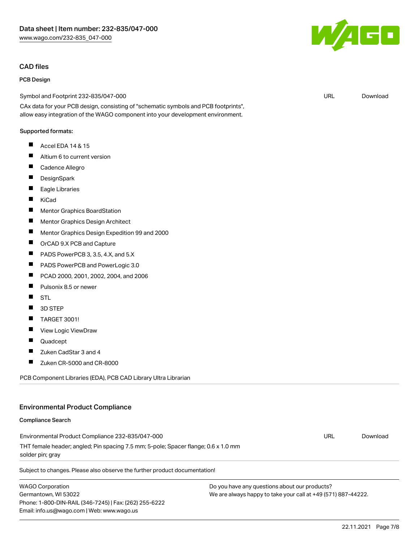#### CAD files

#### PCB Design

Symbol and Footprint 232-835/047-000

CAx data for your PCB design, consisting of "schematic symbols and PCB footprints", allow easy integration of the WAGO component into your development environment.

#### Supported formats:

- $\blacksquare$ Accel EDA 14 & 15
- $\blacksquare$ Altium 6 to current version
- П Cadence Allegro
- П **DesignSpark**
- $\blacksquare$ Eagle Libraries
- $\blacksquare$ KiCad
- $\blacksquare$ Mentor Graphics BoardStation
- $\blacksquare$ Mentor Graphics Design Architect
- П Mentor Graphics Design Expedition 99 and 2000
- П OrCAD 9.X PCB and Capture
- **The State** PADS PowerPCB 3, 3.5, 4.X, and 5.X
- $\blacksquare$ PADS PowerPCB and PowerLogic 3.0
- $\blacksquare$ PCAD 2000, 2001, 2002, 2004, and 2006
- П Pulsonix 8.5 or newer
- П **STL**
- П 3D STEP
- П TARGET 3001!
- $\blacksquare$ View Logic ViewDraw
- П Quadcept
- П Zuken CadStar 3 and 4
- $\blacksquare$ Zuken CR-5000 and CR-8000

PCB Component Libraries (EDA), PCB CAD Library Ultra Librarian

# Environmental Product Compliance

#### Compliance Search

Environmental Product Compliance 232-835/047-000 THT female header; angled; Pin spacing 7.5 mm; 5-pole; Spacer flange; 0.6 x 1.0 mm solder pin; gray

Subject to changes. Please also observe the further product documentation!

WAGO Corporation Germantown, WI 53022 Phone: 1-800-DIN-RAIL (346-7245) | Fax: (262) 255-6222 Email: info.us@wago.com | Web: www.wago.us

Do you have any questions about our products? We are always happy to take your call at +49 (571) 887-44222.



URL [Download](https://www.wago.com/global/d/UltraLibrarian_URLS_232-835_047-000)

22.11.2021 Page 7/8

URL [Download](https://www.wago.com/global/d/ComplianceLinkMediaContainer_232-835_047-000)